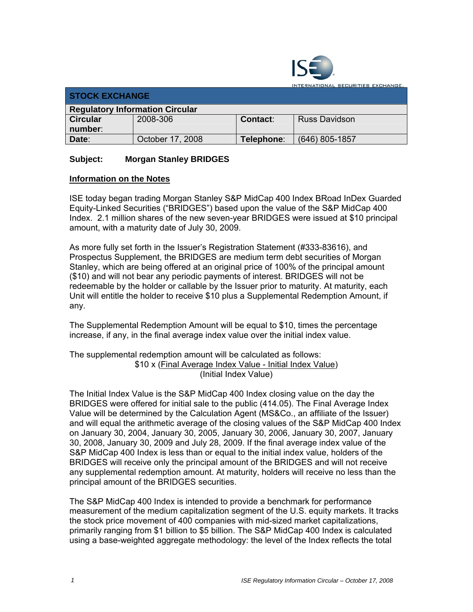

**ITERNATIONAL SECURITIES EXCHANGE.** 

| <b>STOCK EXCHANGE</b>                  |                  |            |                |  |  |
|----------------------------------------|------------------|------------|----------------|--|--|
| <b>Regulatory Information Circular</b> |                  |            |                |  |  |
| <b>Circular</b>                        | 2008-306         | Contact:   | Russ Davidson  |  |  |
| number:                                |                  |            |                |  |  |
| Date:                                  | October 17, 2008 | Telephone: | (646) 805-1857 |  |  |

## **Subject: Morgan Stanley BRIDGES**

## **Information on the Notes**

ISE today began trading Morgan Stanley S&P MidCap 400 Index BRoad InDex Guarded Equity-Linked Securities ("BRIDGES") based upon the value of the S&P MidCap 400 Index. 2.1 million shares of the new seven-year BRIDGES were issued at \$10 principal amount, with a maturity date of July 30, 2009.

As more fully set forth in the Issuer's Registration Statement (#333-83616), and Prospectus Supplement, the BRIDGES are medium term debt securities of Morgan Stanley, which are being offered at an original price of 100% of the principal amount (\$10) and will not bear any periodic payments of interest. BRIDGES will not be redeemable by the holder or callable by the Issuer prior to maturity. At maturity, each Unit will entitle the holder to receive \$10 plus a Supplemental Redemption Amount, if any.

The Supplemental Redemption Amount will be equal to \$10, times the percentage increase, if any, in the final average index value over the initial index value.

The supplemental redemption amount will be calculated as follows: \$10 x (Final Average Index Value - Initial Index Value) (Initial Index Value)

The Initial Index Value is the S&P MidCap 400 Index closing value on the day the BRIDGES were offered for initial sale to the public (414.05). The Final Average Index Value will be determined by the Calculation Agent (MS&Co., an affiliate of the Issuer) and will equal the arithmetic average of the closing values of the S&P MidCap 400 Index on January 30, 2004, January 30, 2005, January 30, 2006, January 30, 2007, January 30, 2008, January 30, 2009 and July 28, 2009. If the final average index value of the S&P MidCap 400 Index is less than or equal to the initial index value, holders of the BRIDGES will receive only the principal amount of the BRIDGES and will not receive any supplemental redemption amount. At maturity, holders will receive no less than the principal amount of the BRIDGES securities.

The S&P MidCap 400 Index is intended to provide a benchmark for performance measurement of the medium capitalization segment of the U.S. equity markets. It tracks the stock price movement of 400 companies with mid-sized market capitalizations, primarily ranging from \$1 billion to \$5 billion. The S&P MidCap 400 Index is calculated using a base-weighted aggregate methodology: the level of the Index reflects the total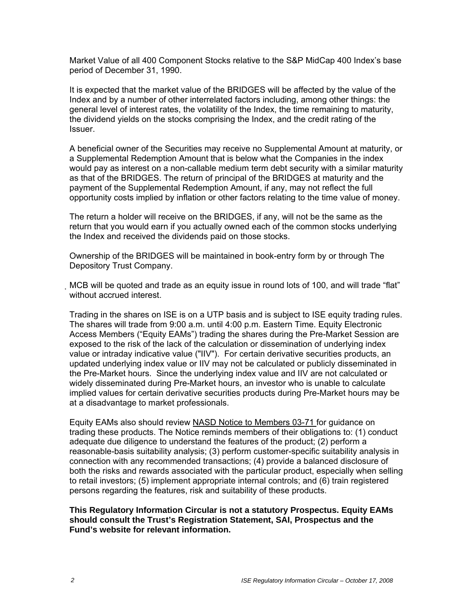Market Value of all 400 Component Stocks relative to the S&P MidCap 400 Index's base period of December 31, 1990.

It is expected that the market value of the BRIDGES will be affected by the value of the Index and by a number of other interrelated factors including, among other things: the general level of interest rates, the volatility of the Index, the time remaining to maturity, the dividend yields on the stocks comprising the Index, and the credit rating of the Issuer.

A beneficial owner of the Securities may receive no Supplemental Amount at maturity, or a Supplemental Redemption Amount that is below what the Companies in the index would pay as interest on a non-callable medium term debt security with a similar maturity as that of the BRIDGES. The return of principal of the BRIDGES at maturity and the payment of the Supplemental Redemption Amount, if any, may not reflect the full opportunity costs implied by inflation or other factors relating to the time value of money.

The return a holder will receive on the BRIDGES, if any, will not be the same as the return that you would earn if you actually owned each of the common stocks underlying the Index and received the dividends paid on those stocks.

Ownership of the BRIDGES will be maintained in book-entry form by or through The Depository Trust Company.

MCB will be quoted and trade as an equity issue in round lots of 100, and will trade "flat" without accrued interest.

Trading in the shares on ISE is on a UTP basis and is subject to ISE equity trading rules. The shares will trade from 9:00 a.m. until 4:00 p.m. Eastern Time. Equity Electronic Access Members ("Equity EAMs") trading the shares during the Pre-Market Session are exposed to the risk of the lack of the calculation or dissemination of underlying index value or intraday indicative value ("IIV"). For certain derivative securities products, an updated underlying index value or IIV may not be calculated or publicly disseminated in the Pre-Market hours. Since the underlying index value and IIV are not calculated or widely disseminated during Pre-Market hours, an investor who is unable to calculate implied values for certain derivative securities products during Pre-Market hours may be at a disadvantage to market professionals.

Equity EAMs also should review NASD Notice to Members 03-71 for guidance on trading these products. The Notice reminds members of their obligations to: (1) conduct adequate due diligence to understand the features of the product; (2) perform a reasonable-basis suitability analysis; (3) perform customer-specific suitability analysis in connection with any recommended transactions; (4) provide a balanced disclosure of both the risks and rewards associated with the particular product, especially when selling to retail investors; (5) implement appropriate internal controls; and (6) train registered persons regarding the features, risk and suitability of these products.

## **This Regulatory Information Circular is not a statutory Prospectus. Equity EAMs should consult the Trust's Registration Statement, SAI, Prospectus and the Fund's website for relevant information.**